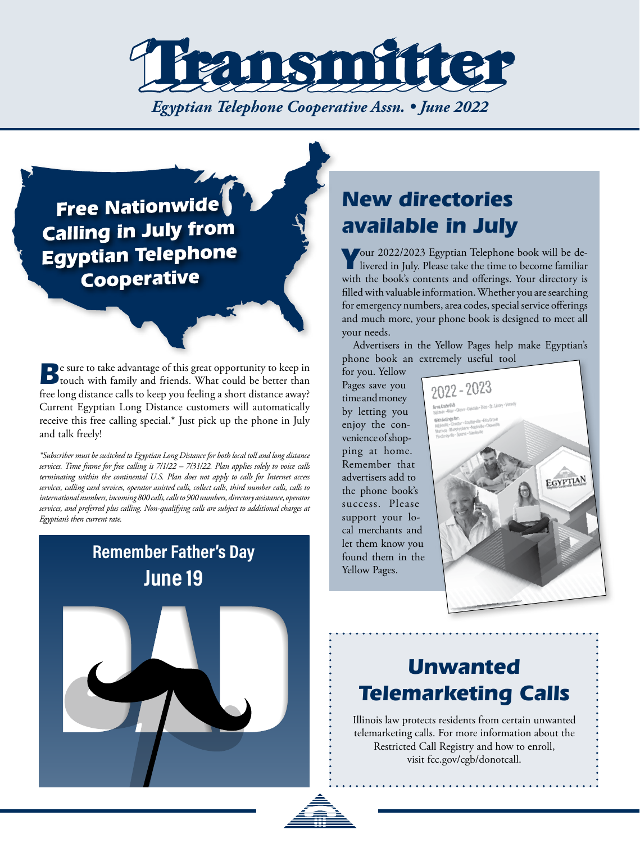

## **Free Nationwide Calling in July from Egyptian Telephone** Cooperative

**B**e sure to take advantage of this great opportunity to keep in touch with family and friends. What could be better than free long distance calls to keep you feeling a short distance away? Current Egyptian Long Distance customers will automatically receive this free calling special.\* Just pick up the phone in July and talk freely!

*\*Subscriber must be switched to Egyptian Long Distance for both local toll and long distance services. Time frame for free calling is 7/1/22 – 7/31/22. Plan applies solely to voice calls terminating within the continental U.S. Plan does not apply to calls for Internet access services, calling card services, operator assisted calls, collect calls, third number calls, calls to international numbers, incoming 800 calls, calls to 900 numbers, directory assistance, operator services, and preferred plus calling. Non-qualifying calls are subject to additional charges at Egyptian's then current rate.*

## **Remember Father's Day June 19**

# *New directories available in July*

*Y*our 2022/2023 Egyptian Telephone book will be de-livered in July. Please take the time to become familiar with the book's contents and offerings. Your directory is filled with valuable information. Whether you are searching for emergency numbers, area codes, special service offerings and much more, your phone book is designed to meet all your needs.

Advertisers in the Yellow Pages help make Egyptian's phone book an extremely useful tool

for you. Yellow Pages save you time and money by letting you enjoy the convenience of shopping at home. Remember that advertisers add to the phone book's success. Please support your local merchants and let them know you found them in the Yellow Pages.



## *Unwanted Telemarketing Calls*

Illinois law protects residents from certain unwanted telemarketing calls. For more information about the Restricted Call Registry and how to enroll, visit fcc.gov/cgb/donotcall.